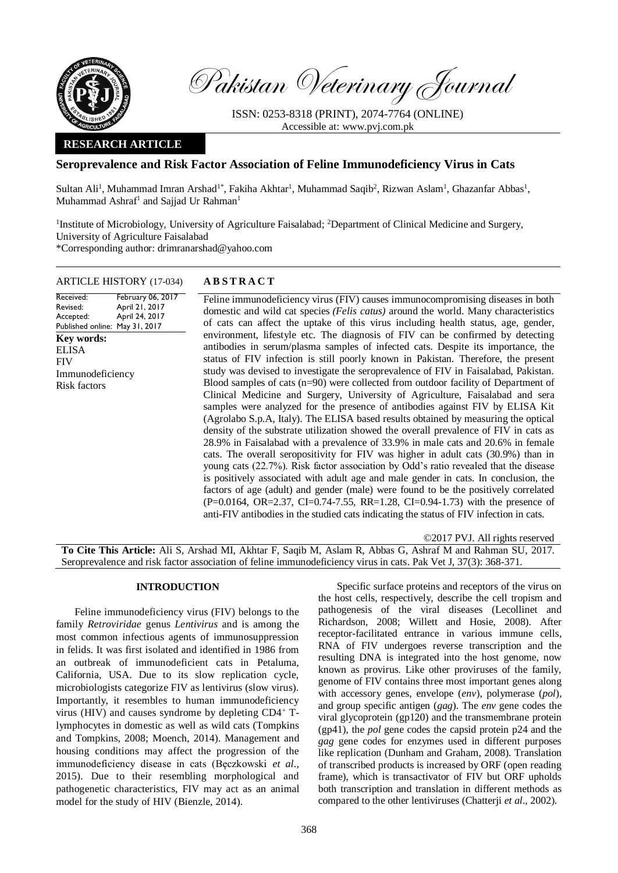

Pakistan Veterinary Journal

ISSN: 0253-8318 (PRINT), 2074-7764 (ONLINE) Accessible at: [www.pvj.com.pk](http://www.pvj.com.pk/)

# **RESEARCH ARTICLE**

# **Seroprevalence and Risk Factor Association of Feline Immunodeficiency Virus in Cats**

Sultan Ali<sup>1</sup>, Muhammad Imran Arshad<sup>1\*</sup>, Fakiha Akhtar<sup>1</sup>, Muhammad Saqib<sup>2</sup>, Rizwan Aslam<sup>1</sup>, Ghazanfar Abbas<sup>1</sup>, Muhammad Ashraf<sup>1</sup> and Sajjad Ur Rahman<sup>1</sup>

<sup>1</sup>Institute of Microbiology, University of Agriculture Faisalabad; <sup>2</sup>Department of Clinical Medicine and Surgery, University of Agriculture Faisalabad \*Corresponding author: drimranarshad@yahoo.com

### ARTICLE HISTORY (17-034) **A B S T R A C T**

Received: Revised: Accepted: Published online: May 31, 2017 February 06, 2017 April 21, 2017 April 24, 2017 Feline immunodeficiency virus (FIV) causes immunocompromising diseases in both domestic and wild cat species *(Felis catus)* around the world. Many characteristics of cats can affect the uptake of this virus including health status, age, gender, environment, lifestyle etc. The diagnosis of FIV can be confirmed by detecting antibodies in serum/plasma samples of infected cats. Despite its importance, the status of FIV infection is still poorly known in Pakistan. Therefore, the present study was devised to investigate the seroprevalence of FIV in Faisalabad, Pakistan. Blood samples of cats (n=90) were collected from outdoor facility of Department of Clinical Medicine and Surgery, University of Agriculture, Faisalabad and sera samples were analyzed for the presence of antibodies against FIV by ELISA Kit (Agrolabo S.p.A, Italy). The ELISA based results obtained by measuring the optical density of the substrate utilization showed the overall prevalence of FIV in cats as 28.9% in Faisalabad with a prevalence of 33.9% in male cats and 20.6% in female cats. The overall seropositivity for FIV was higher in adult cats (30.9%) than in young cats (22.7%). Risk factor association by Odd's ratio revealed that the disease is positively associated with adult age and male gender in cats. In conclusion, the factors of age (adult) and gender (male) were found to be the positively correlated (P=0.0164, OR=2.37, CI=0.74-7.55, RR=1.28, CI=0.94-1.73) with the presence of anti-FIV antibodies in the studied cats indicating the status of FIV infection in cats. ©2017 PVJ. All rights reserved **Key words:**  ELISA FIV Immunodeficiency Risk factors

**To Cite This Article:** Ali S, Arshad MI, Akhtar F, Saqib M, Aslam R, Abbas G, Ashraf M and Rahman SU, 2017. Seroprevalence and risk factor association of feline immunodeficiency virus in cats. Pak Vet J, 37(3): 368-371.

### **INTRODUCTION**

Feline immunodeficiency virus (FIV) belongs to the family *Retroviridae* genus *Lentivirus* and is among the most common infectious agents of immunosuppression in felids. It was first isolated and identified in 1986 from an outbreak of immunodeficient cats in Petaluma, California, USA. Due to its slow replication cycle, microbiologists categorize FIV as lentivirus (slow virus). Importantly, it resembles to human immunodeficiency virus (HIV) and causes syndrome by depleting CD4<sup>+</sup> Tlymphocytes in domestic as well as wild cats (Tompkins and Tompkins, 2008; Moench, 2014). Management and housing conditions may affect the progression of the immunodeficiency disease in cats (Bęczkowski *et al*., 2015). Due to their resembling morphological and pathogenetic characteristics, FIV may act as an animal model for the study of HIV (Bienzle, 2014).

Specific surface proteins and receptors of the virus on the host cells, respectively, describe the cell tropism and pathogenesis of the viral diseases (Lecollinet and Richardson, 2008; Willett and Hosie, 2008). After receptor-facilitated entrance in various immune cells, RNA of FIV undergoes reverse transcription and the resulting DNA is integrated into the host genome, now known as provirus. Like other proviruses of the family, genome of FIV contains three most important genes along with accessory genes, envelope (*env*), polymerase (*pol*), and group specific antigen (*gag*). The *env* gene codes the viral glycoprotein (gp120) and the transmembrane protein (gp41), the *pol* gene codes the capsid protein p24 and the *gag* gene codes for enzymes used in different purposes like replication (Dunham and Graham, 2008). Translation of transcribed products is increased by ORF (open reading frame), which is transactivator of FIV but ORF upholds both transcription and translation in different methods as compared to the other lentiviruses (Chatterji *et al*., 2002).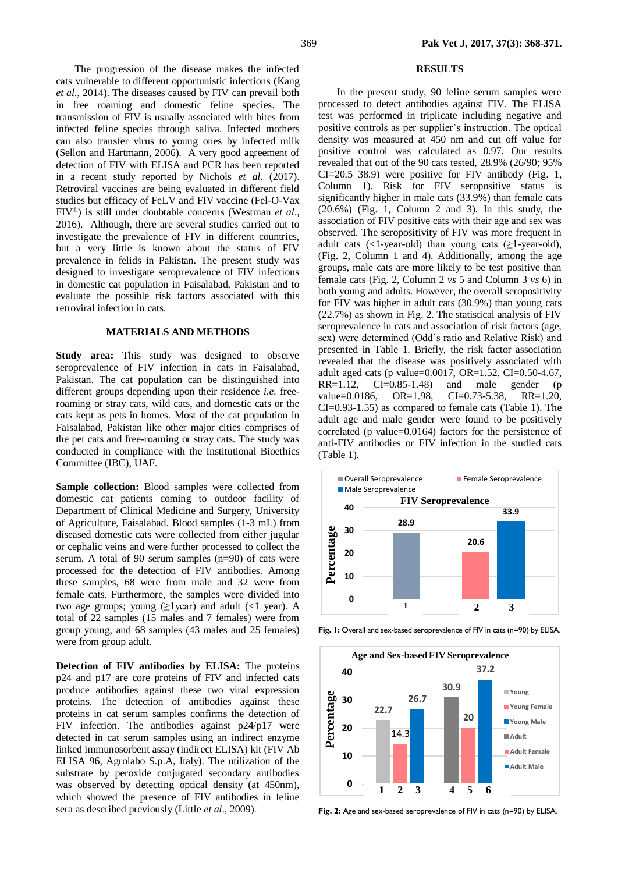## The progression of the disease makes the infected cats vulnerable to different opportunistic infections (Kang *et al*., 2014). The diseases caused by FIV can prevail both in free roaming and domestic feline species. The transmission of FIV is usually associated with bites from infected feline species through saliva. Infected mothers can also transfer virus to young ones by infected milk (Sellon and Hartmann, 2006). A very good agreement of detection of FIV with ELISA and PCR has been reported in a recent study reported by Nichols *et al*. (2017). Retroviral vaccines are being evaluated in different field studies but efficacy of FeLV and FIV vaccine (Fel-O-Vax FIV®) is still under doubtable concerns (Westman *et al*., 2016). Although, there are several studies carried out to investigate the prevalence of FIV in different countries, but a very little is known about the status of FIV prevalence in felids in Pakistan. The present study was designed to investigate seroprevalence of FIV infections in domestic cat population in Faisalabad, Pakistan and to evaluate the possible risk factors associated with this retroviral infection in cats.

#### **MATERIALS AND METHODS**

**Study area:** This study was designed to observe seroprevalence of FIV infection in cats in Faisalabad, Pakistan. The cat population can be distinguished into different groups depending upon their residence *i.e.* freeroaming or stray cats, wild cats, and domestic cats or the cats kept as pets in homes. Most of the cat population in Faisalabad, Pakistan like other major cities comprises of the pet cats and free-roaming or stray cats. The study was conducted in compliance with the Institutional Bioethics Committee (IBC), UAF.

**Sample collection:** Blood samples were collected from domestic cat patients coming to outdoor facility of Department of Clinical Medicine and Surgery, University of Agriculture, Faisalabad. Blood samples (1-3 mL) from diseased domestic cats were collected from either jugular or cephalic veins and were further processed to collect the serum. A total of 90 serum samples (n=90) of cats were processed for the detection of FIV antibodies. Among these samples, 68 were from male and 32 were from female cats. Furthermore, the samples were divided into two age groups; young  $(\geq1$ year) and adult  $(\leq1$  year). A total of 22 samples (15 males and 7 females) were from group young, and 68 samples (43 males and 25 females) were from group adult.

**Detection of FIV antibodies by ELISA:** The proteins p24 and p17 are core proteins of FIV and infected cats produce antibodies against these two viral expression proteins. The detection of antibodies against these proteins in cat serum samples confirms the detection of FIV infection. The antibodies against p24/p17 were detected in cat serum samples using an indirect enzyme linked immunosorbent assay (indirect ELISA) kit (FIV Ab ELISA 96, Agrolabo S.p.A, Italy). The utilization of the substrate by peroxide conjugated secondary antibodies was observed by detecting optical density (at 450nm), which showed the presence of FIV antibodies in feline sera as described previously (Little *et al*., 2009).

#### **RESULTS**

In the present study, 90 feline serum samples were processed to detect antibodies against FIV. The ELISA test was performed in triplicate including negative and positive controls as per supplier's instruction. The optical density was measured at 450 nm and cut off value for positive control was calculated as 0.97. Our results revealed that out of the 90 cats tested, 28.9% (26/90; 95% CI=20.5–38.9) were positive for FIV antibody (Fig. 1, Column 1). Risk for FIV seropositive status is significantly higher in male cats (33.9%) than female cats (20.6%) (Fig. 1, Column 2 and 3). In this study, the association of FIV positive cats with their age and sex was observed. The seropositivity of FIV was more frequent in adult cats  $(\langle 1$ -year-old) than young cats  $(\geq 1$ -year-old), (Fig. 2, Column 1 and 4). Additionally, among the age groups, male cats are more likely to be test positive than female cats (Fig. 2, Column 2 *vs* 5 and Column 3 *vs* 6) in both young and adults. However, the overall seropositivity for FIV was higher in adult cats (30.9%) than young cats (22.7%) as shown in Fig. 2. The statistical analysis of FIV seroprevalence in cats and association of risk factors (age, sex) were determined (Odd's ratio and Relative Risk) and presented in Table 1. Briefly, the risk factor association revealed that the disease was positively associated with adult aged cats (p value=0.0017, OR=1.52, CI=0.50-4.67, RR=1.12, CI=0.85-1.48) and male gender (p RR=1.12, CI=0.85-1.48) and male gender (p value=0.0186, OR=1.98, CI=0.73-5.38, RR=1.20, CI=0.93-1.55) as compared to female cats (Table 1). The adult age and male gender were found to be positively correlated (p value=0.0164) factors for the persistence of anti-FIV antibodies or FIV infection in the studied cats (Table 1).



Fig. 1: Overall and sex-based seroprevalence of FIV in cats (n=90) by ELISA.



Fig. 2: Age and sex-based seroprevalence of FIV in cats (n=90) by ELISA.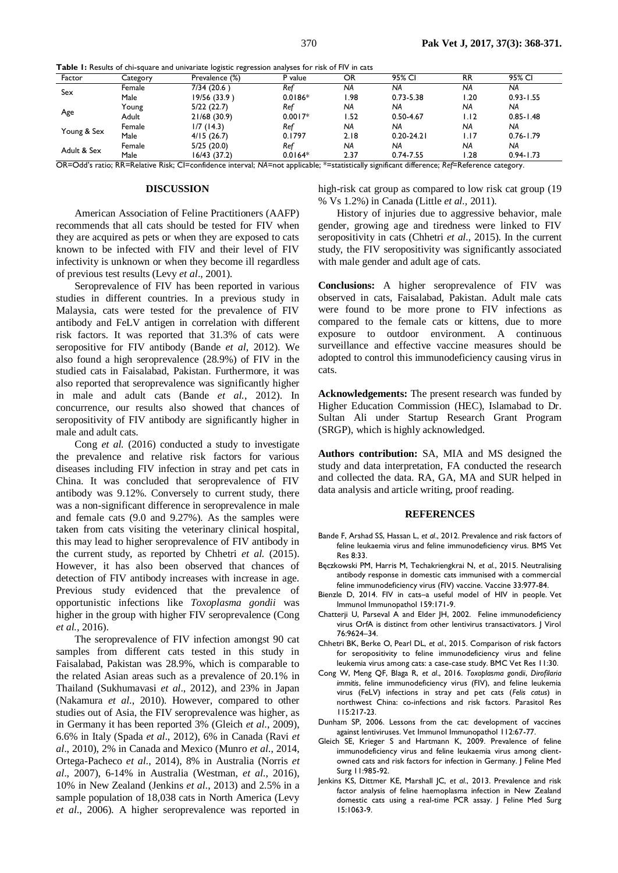**Table 1:** Results of chi-square and univariate logistic regression analyses for risk of FIV in cats

| Factor      | Category | Prevalence (%) | P value   | OR.  | 95% CI         | <b>RR</b> | 95% CI        |
|-------------|----------|----------------|-----------|------|----------------|-----------|---------------|
| Sex         | Female   | 7/34 (20.6)    | Ref       | NA   | NA             | <b>NA</b> | NA            |
|             | Male     | 19/56 (33.9)   | $0.0186*$ | !.98 | $0.73 - 5.38$  | .20       | $0.93 - 1.55$ |
| Age         | Young    | 5/22(22.7)     | Ref       | NA   | <b>NA</b>      | <b>NA</b> | NA            |
|             | Adult    | 21/68 (30.9)   | $0.0017*$ | .52  | $0.50 - 4.67$  | I.I2      | $0.85 - 1.48$ |
| Young & Sex | Female   | 1/7(14.3)      | Ref       | NA   | <b>NA</b>      | <b>NA</b> | <b>NA</b>     |
|             | Male     | 4/15(26.7)     | 0.1797    | 2.18 | $0.20 - 24.21$ | l.I7      | $0.76 - 1.79$ |
| Adult & Sex | Female   | 5/25(20.0)     | Ref       | NA   | <b>NA</b>      | <b>NA</b> | NA            |
|             | Male     | 16/43 (37.2)   | $0.0164*$ | 2.37 | $0.74 - 7.55$  | .28       | $0.94 - 1.73$ |

OR=Odd's ratio; RR=Relative Risk; CI=confidence interval; *NA*=not applicable; \*=statistically significant difference; *Ref*=Reference category.

### **DISCUSSION**

American Association of Feline Practitioners (AAFP) recommends that all cats should be tested for FIV when they are acquired as pets or when they are exposed to cats known to be infected with FIV and their level of FIV infectivity is unknown or when they become ill regardless of previous test results (Levy *et al*., 2001).

Seroprevalence of FIV has been reported in various studies in different countries. In a previous study in Malaysia, cats were tested for the prevalence of FIV antibody and FeLV antigen in correlation with different risk factors. It was reported that 31.3% of cats were seropositive for FIV antibody (Bande *et al*, 2012). We also found a high seroprevalence (28.9%) of FIV in the studied cats in Faisalabad, Pakistan. Furthermore, it was also reported that seroprevalence was significantly higher in male and adult cats (Bande *et al.*, 2012). In concurrence, our results also showed that chances of seropositivity of FIV antibody are significantly higher in male and adult cats.

Cong *et al.* (2016) conducted a study to investigate the prevalence and relative risk factors for various diseases including FIV infection in stray and pet cats in China. It was concluded that seroprevalence of FIV antibody was 9.12%. Conversely to current study, there was a non-significant difference in seroprevalence in male and female cats (9.0 and 9.27%). As the samples were taken from cats visiting the veterinary clinical hospital, this may lead to higher seroprevalence of FIV antibody in the current study, as reported by Chhetri *et al.* (2015). However, it has also been observed that chances of detection of FIV antibody increases with increase in age. Previous study evidenced that the prevalence of opportunistic infections like *Toxoplasma gondii* was higher in the group with higher FIV seroprevalence (Cong *et al.,* 2016).

The seroprevalence of FIV infection amongst 90 cat samples from different cats tested in this study in Faisalabad, Pakistan was 28.9%, which is comparable to the related Asian areas such as a prevalence of 20.1% in Thailand (Sukhumavasi *et al*., 2012), and 23% in Japan (Nakamura *et al*., 2010). However, compared to other studies out of Asia, the FIV seroprevalence was higher, as in Germany it has been reported 3% (Gleich *et al*., 2009), 6.6% in Italy (Spada *et al*., 2012), 6% in Canada (Ravi *et al*., 2010), 2% in Canada and Mexico (Munro *et al*., 2014, Ortega-Pacheco *et al*., 2014), 8% in Australia (Norris *et al*., 2007), 6-14% in Australia (Westman, *et al*., 2016), 10% in New Zealand (Jenkins *et al*., 2013) and 2.5% in a sample population of 18,038 cats in North America (Levy *et al*., 2006). A higher seroprevalence was reported in high-risk cat group as compared to low risk cat group (19) % Vs 1.2%) in Canada (Little *et al.,* 2011).

History of injuries due to aggressive behavior, male gender, growing age and tiredness were linked to FIV seropositivity in cats (Chhetri *et al.,* 2015). In the current study, the FIV seropositivity was significantly associated with male gender and adult age of cats.

**Conclusions:** A higher seroprevalence of FIV was observed in cats, Faisalabad, Pakistan. Adult male cats were found to be more prone to FIV infections as compared to the female cats or kittens, due to more exposure to outdoor environment. A continuous surveillance and effective vaccine measures should be adopted to control this immunodeficiency causing virus in cats.

**Acknowledgements:** The present research was funded by Higher Education Commission (HEC), Islamabad to Dr. Sultan Ali under Startup Research Grant Program (SRGP), which is highly acknowledged.

**Authors contribution:** SA, MIA and MS designed the study and data interpretation, FA conducted the research and collected the data. RA, GA, MA and SUR helped in data analysis and article writing, proof reading.

### **REFERENCES**

- Bande F, Arshad SS, Hassan L, *et al*., 2012. Prevalence and risk factors of feline leukaemia virus and feline immunodeficiency virus. BMS Vet Res 8:33.
- Bęczkowski PM, Harris M, Techakriengkrai N, *et al*., 2015. Neutralising antibody response in domestic cats immunised with a commercial feline immunodeficiency virus (FIV) vaccine. Vaccine 33:977-84.
- Bienzle D, 2014. FIV in cats–a useful model of HIV in people. Vet Immunol Immunopathol 159:171-9.
- Chatterji U, Parseval A and Elder JH, 2002. Feline immunodeficiency virus OrfA is distinct from other lentivirus transactivators. J Virol 76:9624–34.
- Chhetri BK, Berke O, Pearl DL, *et al*., 2015. Comparison of risk factors for seropositivity to feline immunodeficiency virus and feline leukemia virus among cats: a case-case study. BMC Vet Res 11:30.
- Cong W, Meng QF, Blaga R, *et al*., 2016. *Toxoplasma gondii*, *Dirofilaria immitis*, feline immunodeficiency virus (FIV), and feline leukemia virus (FeLV) infections in stray and pet cats (*Felis catus*) in northwest China: co-infections and risk factors. Parasitol Res 115:217-23.
- Dunham SP, 2006. Lessons from the cat: development of vaccines against lentiviruses. Vet Immunol Immunopathol 112:67-77.
- Gleich SE, Krieger S and Hartmann K, 2009. Prevalence of feline immunodeficiency virus and feline leukaemia virus among clientowned cats and risk factors for infection in Germany. J Feline Med Surg 11:985-92.
- Jenkins KS, Dittmer KE, Marshall JC, *et al*., 2013. Prevalence and risk factor analysis of feline haemoplasma infection in New Zealand domestic cats using a real-time PCR assay. J Feline Med Surg 15:1063-9.